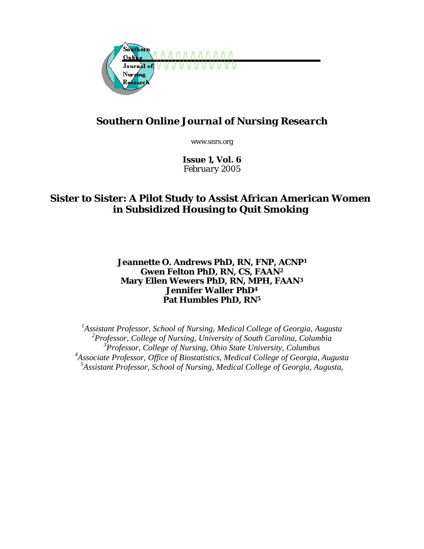

# *Southern Online Journal of Nursing Research*

www.snrs.org

*Issue 1, Vol. 6 February 2005*

## **Sister to Sister: A Pilot Study to Assist African American Women in Subsidized Housing to Quit Smoking**

## **Jeannette O. Andrews PhD, RN, FNP, ACNP1 Gwen Felton PhD, RN, CS, FAAN2 Mary Ellen Wewers PhD, RN, MPH, FAAN3 Jennifer Waller PhD4 Pat Humbles PhD, RN5**

<sup>1</sup> Assistant Professor, School of Nursing, Medical College of Georgia, Augusta *Professor, College of Nursing, University of South Carolina, Columbia Professor, College of Nursing, Ohio State University, Columbus Associate Professor, Office of Biostatistics, Medical College of Georgia, Augusta Assistant Professor, School of Nursing, Medical College of Georgia, Augusta,*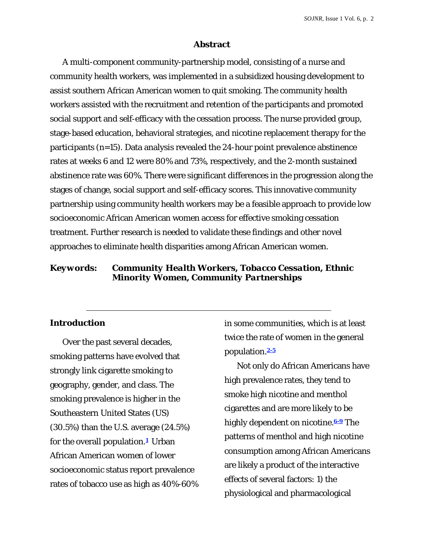#### **Abstract**

A multi-component community-partnership model, consisting of a nurse and community health workers, was implemented in a subsidized housing development to assist southern African American women to quit smoking. The community health workers assisted with the recruitment and retention of the participants and promoted social support and self-efficacy with the cessation process. The nurse provided group, stage-based education, behavioral strategies, and nicotine replacement therapy for the participants (*n*=15). Data analysis revealed the 24-hour point prevalence abstinence rates at weeks 6 and 12 were 80% and 73%, respectively, and the 2-month sustained abstinence rate was 60%. There were significant differences in the progression along the stages of change, social support and self-efficacy scores. This innovative community partnership using community health workers may be a feasible approach to provide low socioeconomic African American women access for effective smoking cessation treatment. Further research is needed to validate these findings and other novel approaches to eliminate health disparities among African American women.

## *Keywords: Community Health Workers, Tobacco Cessation, Ethnic Minority Women, Community Partnerships*

#### **Introduction**

Over the past several decades, smoking patterns have evolved that strongly link cigarette smoking to geography, gender, and class. The smoking prevalence is higher in the Southeastern United States (US) (30.5%) than the U.S. average (24.5%) for the overall population.**1** Urban African American women of lower socioeconomic status report prevalence rates of tobacco use as high as 40%-60% in some communities, which is at least twice the rate of women in the general population.**2-5**

Not only do African Americans have high prevalence rates, they tend to smoke high nicotine and menthol cigarettes and are more likely to be highly dependent on nicotine.**6-9** The patterns of menthol and high nicotine consumption among African Americans are likely a product of the interactive effects of several factors: 1) the physiological and pharmacological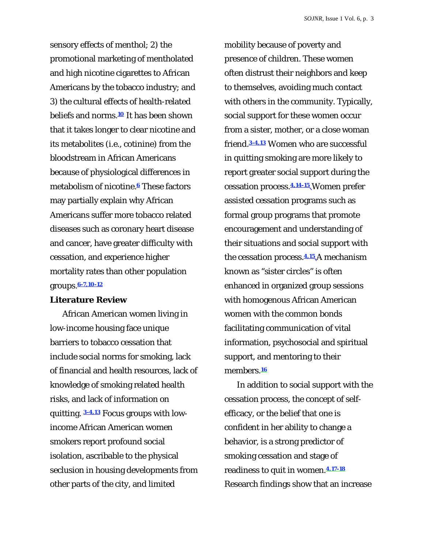sensory effects of menthol; 2) the promotional marketing of mentholated and high nicotine cigarettes to African Americans by the tobacco industry; and 3) the cultural effects of health-related beliefs and norms.**<sup>10</sup>** It has been shown that it takes longer to clear nicotine and its metabolites (i.e., cotinine) from the bloodstream in African Americans because of physiological differences in metabolism of nicotine.**6** These factors may partially explain why African Americans suffer more tobacco related diseases such as coronary heart disease and cancer, have greater difficulty with cessation, and experience higher mortality rates than other population groups.**6-7,10-12**

#### **Literature Review**

African American women living in low-income housing face unique barriers to tobacco cessation that include social norms for smoking, lack of financial and health resources, lack of knowledge of smoking related health risks, and lack of information on quitting. **3-4,13** Focus groups with lowincome African American women smokers report profound social isolation, ascribable to the physical seclusion in housing developments from other parts of the city, and limited

mobility because of poverty and presence of children. These women often distrust their neighbors and keep to themselves, avoiding much contact with others in the community. Typically, social support for these women occur from a sister, mother, or a close woman friend.**3-4,13** Women who are successful in quitting smoking are more likely to report greater social support during the cessation process.**4,14-15** Women prefer assisted cessation programs such as formal group programs that promote encouragement and understanding of their situations and social support with the cessation process.**4,15** A mechanism known as "sister circles" is often enhanced in organized group sessions with homogenous African American women with the common bonds facilitating communication of vital information, psychosocial and spiritual support, and mentoring to their members.**<sup>16</sup>**

In addition to social support with the cessation process, the concept of selfefficacy, or the belief that one is confident in her ability to change a behavior, is a strong predictor of smoking cessation and stage of readiness to quit in women.**4,17-18** Research findings show that an increase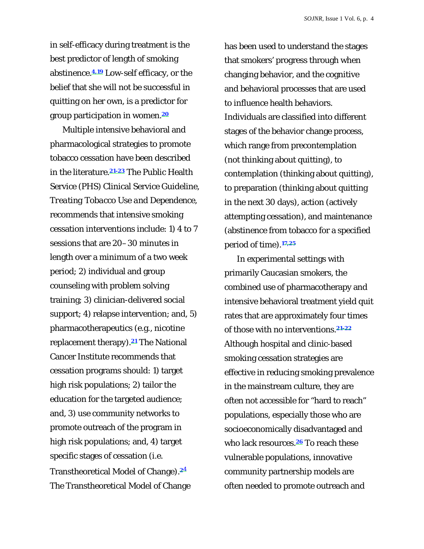in self-efficacy during treatment is the best predictor of length of smoking abstinence.**4,19** Low-self efficacy, or the belief that she will not be successful in quitting on her own, is a predictor for group participation in women.**<sup>20</sup>**

Multiple intensive behavioral and pharmacological strategies to promote tobacco cessation have been described in the literature.**21-23** The Public Health Service (PHS) Clinical Service Guideline, *Treating Tobacco Use and Dependence,* recommends that intensive smoking cessation interventions include: 1) 4 to 7 sessions that are 20–30 minutes in length over a minimum of a two week period; 2) individual and group counseling with problem solving training; 3) clinician-delivered social support; 4) relapse intervention; and, 5) pharmacotherapeutics (e.g., nicotine replacement therapy).**21** The National Cancer Institute recommends that cessation programs should: 1) target high risk populations; 2) tailor the education for the targeted audience; and, 3) use community networks to promote outreach of the program in high risk populations; and, 4) target specific stages of cessation (i.e. Transtheoretical Model of Change).**2**<sup>4</sup> The Transtheoretical Model of Change

has been used to understand the stages that smokers' progress through when changing behavior, and the cognitive and behavioral processes that are used to influence health behaviors. Individuals are classified into different stages of the behavior change process, which range from precontemplation (not thinking about quitting), to contemplation (thinking about quitting), to preparation (thinking about quitting in the next 30 days), action (actively attempting cessation), and maintenance (abstinence from tobacco for a specified period of time).**17,25**

In experimental settings with primarily Caucasian smokers, the combined use of pharmacotherapy and intensive behavioral treatment yield quit rates that are approximately four times of those with no interventions.**21-22** Although hospital and clinic-based smoking cessation strategies are effective in reducing smoking prevalence in the mainstream culture, they are often not accessible for "hard to reach" populations, especially those who are socioeconomically disadvantaged and who lack resources.**26** To reach these vulnerable populations, innovative community partnership models are often needed to promote outreach and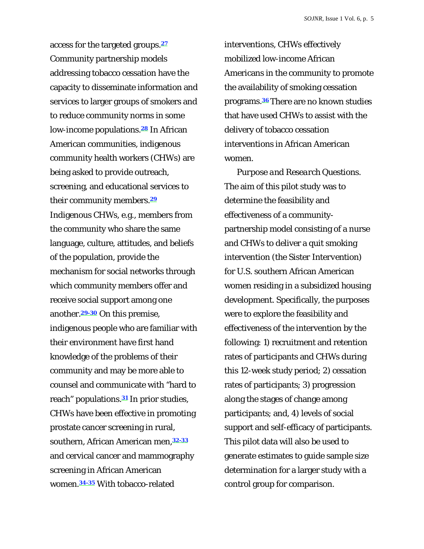access for the targeted groups.**<sup>27</sup>** Community partnership models addressing tobacco cessation have the capacity to disseminate information and services to larger groups of smokers and to reduce community norms in some low-income populations.**28** In African American communities, indigenous community health workers (CHWs) are being asked to provide outreach, screening, and educational services to their community members.**<sup>29</sup>** Indigenous CHWs, e.g., members from the community who share the same language, culture, attitudes, and beliefs of the population, provide the mechanism for social networks through which community members offer and receive social support among one another.**29-30** On this premise, indigenous people who are familiar with their environment have first hand knowledge of the problems of their community and may be more able to counsel and communicate with "hard to reach" populations.**31** In prior studies, CHWs have been effective in promoting prostate cancer screening in rural, southern, African American men,**32-33** and cervical cancer and mammography screening in African American women.**34-35** With tobacco-related

interventions, CHWs effectively mobilized low-income African Americans in the community to promote the availability of smoking cessation programs.**<sup>36</sup>** There are no known studies that have used CHWs to assist with the delivery of tobacco cessation interventions in African American women.

*Purpose and Research Questions.*  The aim of this pilot study was to determine the feasibility and effectiveness of a communitypartnership model consisting of a nurse and CHWs to deliver a quit smoking intervention (the *Sister Intervention)*  for U.S. southern African American women residing in a subsidized housing development. Specifically, the purposes were to explore the feasibility and effectiveness of the intervention by the following: 1) recruitment and retention rates of participants and CHWs during this 12-week study period; 2) cessation rates of participants; 3) progression along the stages of change among participants; and, 4) levels of social support and self-efficacy of participants. This pilot data will also be used to generate estimates to guide sample size determination for a larger study with a control group for comparison.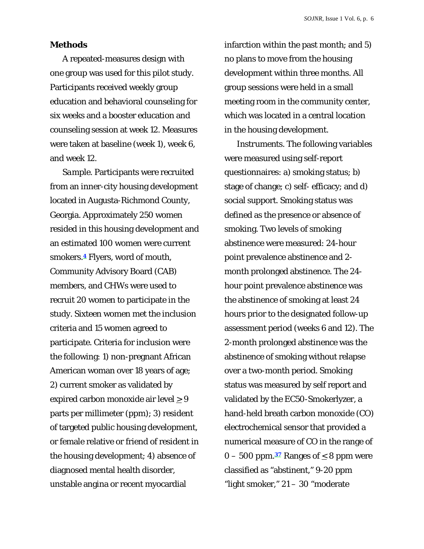#### **Methods**

A repeated-measures design with one group was used for this pilot study. Participants received weekly group education and behavioral counseling for six weeks and a booster education and counseling session at week 12. Measures were taken at baseline (week 1), week 6, and week 12.

*Sample.* Participants were recruited from an inner-city housing development located in Augusta-Richmond County, Georgia. Approximately 250 women resided in this housing development and an estimated 100 women were current smokers.**4** Flyers, word of mouth, Community Advisory Board (CAB) members, and CHWs were used to recruit 20 women to participate in the study. Sixteen women met the inclusion criteria and 15 women agreed to participate. Criteria for inclusion were the following: 1) non-pregnant African American woman over 18 years of age; 2) current smoker as validated by expired carbon monoxide air level  $\geq 9$ parts per millimeter (ppm); 3) resident of targeted public housing development, or female relative or friend of resident in the housing development; 4) absence of diagnosed mental health disorder, unstable angina or recent myocardial

infarction within the past month; and 5) no plans to move from the housing development within three months. All group sessions were held in a small meeting room in the community center, which was located in a central location in the housing development.

*Instruments.* The following variables were measured using self-report questionnaires: a) smoking status; b) stage of change; c) self- efficacy; and d) social support. Smoking status was defined as the presence or absence of smoking. Two levels of smoking abstinence were measured: 24-hour point prevalence abstinence and 2 month prolonged abstinence. The 24 hour point prevalence abstinence was the abstinence of smoking at least 24 hours prior to the designated follow-up assessment period (weeks 6 and 12). The 2-month prolonged abstinence was the abstinence of smoking without relapse over a two-month period. Smoking status was measured by self report and validated by the EC50-Smokerlyzer, a hand-held breath carbon monoxide (CO) electrochemical sensor that provided a numerical measure of CO in the range of  $0 - 500$  ppm.<sup>37</sup> Ranges of  $\leq 8$  ppm were classified as "abstinent," 9-20 ppm "light smoker," 21 – 30 "moderate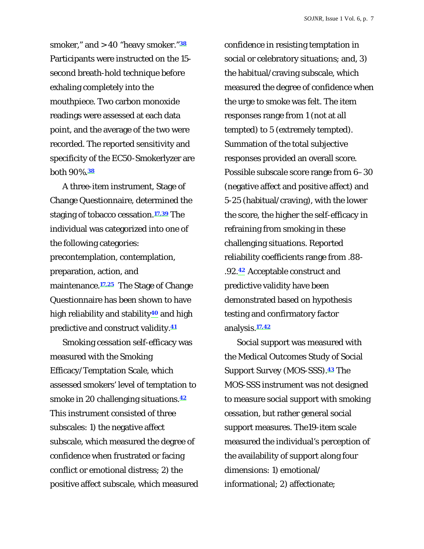smoker," and > 40 "heavy smoker."**<sup>38</sup>** Participants were instructed on the 15 second breath-hold technique before exhaling completely into the mouthpiece. Two carbon monoxide readings were assessed at each data point, and the average of the two were recorded. The reported sensitivity and specificity of the EC50-Smokerlyzer are both 90%.**<sup>38</sup>**

A three-item instrument, Stage of Change Questionnaire, determined the staging of tobacco cessation.**17,39** The individual was categorized into one of the following categories: precontemplation, contemplation, preparation, action, and maintenance.**17,25** The Stage of Change Questionnaire has been shown to have high reliability and stability**40** and high predictive and construct validity.**<sup>41</sup>**

Smoking cessation self-efficacy was measured with the Smoking Efficacy/Temptation Scale, which assessed smokers' level of temptation to smoke in 20 challenging situations.**<sup>42</sup>** This instrument consisted of three subscales: 1) the negative affect subscale, which measured the degree of confidence when frustrated or facing conflict or emotional distress; 2) the positive affect subscale, which measured confidence in resisting temptation in social or celebratory situations; and, 3) the habitual/craving subscale, which measured the degree of confidence when the urge to smoke was felt. The item responses range from 1 (not at all tempted) to 5 (extremely tempted). Summation of the total subjective responses provided an overall score. Possible subscale score range from 6–30 (negative affect and positive affect) and 5-25 (habitual/craving), with the lower the score, the higher the self-efficacy in refraining from smoking in these challenging situations. Reported reliability coefficients range from .88- .92.**42** Acceptable construct and predictive validity have been demonstrated based on hypothesis testing and confirmatory factor analysis.**17,42**

Social support was measured with the Medical Outcomes Study of Social Support Survey (MOS-SSS).**43** The MOS-SSS instrument was not designed to measure social support with smoking cessation, but rather general social support measures. The19-item scale measured the individual's perception of the availability of support along four dimensions: 1) emotional/ informational; 2) affectionate;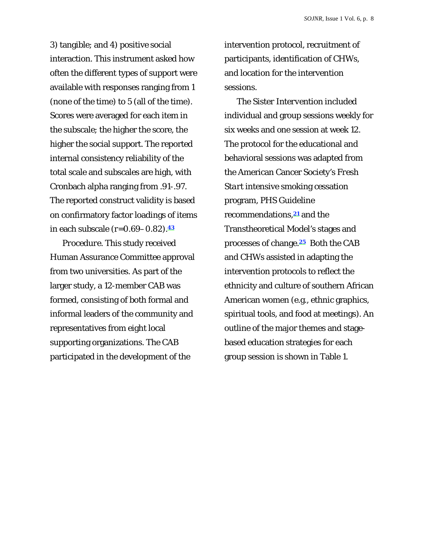3) tangible; and 4) positive social interaction. This instrument asked how often the different types of support were available with responses ranging from 1 (none of the time) to 5 (all of the time). Scores were averaged for each item in the subscale; the higher the score, the higher the social support. The reported internal consistency reliability of the total scale and subscales are high, with Cronbach alpha ranging from .91-.97. The reported construct validity is based on confirmatory factor loadings of items in each subscale (*r*=0.69–0.82).**<sup>43</sup>**

*Procedure.* This study received Human Assurance Committee approval from two universities. As part of the larger study, a 12-member CAB was formed, consisting of both formal and informal leaders of the community and representatives from eight local supporting organizations. The CAB participated in the development of the

intervention protocol, recruitment of participants, identification of CHWs, and location for the intervention sessions.

The *Sister Intervention* included individual and group sessions weekly for six weeks and one session at week 12. The protocol for the educational and behavioral sessions was adapted from the American Cancer Society's *Fresh Start* intensive smoking cessation program, PHS Guideline recommendations,**21** and the Transtheoretical Model's stages and processes of change.**25** Both the CAB and CHWs assisted in adapting the intervention protocols to reflect the ethnicity and culture of southern African American women (e.g., ethnic graphics, spiritual tools, and food at meetings). An outline of the major themes and stagebased education strategies for each group session is shown in Table 1.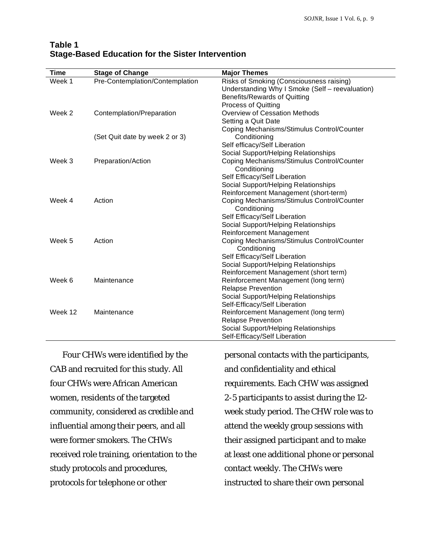| <b>Time</b> | <b>Stage of Change</b>          | <b>Major Themes</b>                                        |
|-------------|---------------------------------|------------------------------------------------------------|
| Week 1      | Pre-Contemplation/Contemplation | Risks of Smoking (Consciousness raising)                   |
|             |                                 | Understanding Why I Smoke (Self - reevaluation)            |
|             |                                 | Benefits/Rewards of Quitting                               |
|             |                                 | <b>Process of Quitting</b>                                 |
| Week 2      | Contemplation/Preparation       | <b>Overview of Cessation Methods</b>                       |
|             |                                 | Setting a Quit Date                                        |
|             |                                 | Coping Mechanisms/Stimulus Control/Counter                 |
|             | (Set Quit date by week 2 or 3)  | Conditioning                                               |
|             |                                 | Self efficacy/Self Liberation                              |
|             |                                 | Social Support/Helping Relationships                       |
| Week 3      | Preparation/Action              | Coping Mechanisms/Stimulus Control/Counter                 |
|             |                                 | Conditioning                                               |
|             |                                 | Self Efficacy/Self Liberation                              |
|             |                                 | Social Support/Helping Relationships                       |
|             |                                 | Reinforcement Management (short-term)                      |
| Week 4      | Action                          | Coping Mechanisms/Stimulus Control/Counter<br>Conditioning |
|             |                                 | Self Efficacy/Self Liberation                              |
|             |                                 | Social Support/Helping Relationships                       |
|             |                                 | Reinforcement Management                                   |
| Week 5      | Action                          | Coping Mechanisms/Stimulus Control/Counter                 |
|             |                                 | Conditioning                                               |
|             |                                 | Self Efficacy/Self Liberation                              |
|             |                                 | Social Support/Helping Relationships                       |
|             |                                 | Reinforcement Management (short term)                      |
| Week 6      | Maintenance                     | Reinforcement Management (long term)                       |
|             |                                 | <b>Relapse Prevention</b>                                  |
|             |                                 | Social Support/Helping Relationships                       |
|             |                                 | Self-Efficacy/Self Liberation                              |
| Week 12     | Maintenance                     | Reinforcement Management (long term)                       |
|             |                                 | <b>Relapse Prevention</b>                                  |
|             |                                 | Social Support/Helping Relationships                       |
|             |                                 | Self-Efficacy/Self Liberation                              |

#### **Table 1 Stage-Based Education for the Sister Intervention**

Four CHWs were identified by the CAB and recruited for this study. All four CHWs were African American women, residents of the targeted community, considered as credible and influential among their peers, and all were former smokers. The CHWs received role training, orientation to the study protocols and procedures, protocols for telephone or other

personal contacts with the participants, and confidentiality and ethical requirements. Each CHW was assigned 2-5 participants to assist during the 12 week study period. The CHW role was to attend the weekly group sessions with their assigned participant and to make at least one additional phone or personal contact weekly. The CHWs were instructed to share their own personal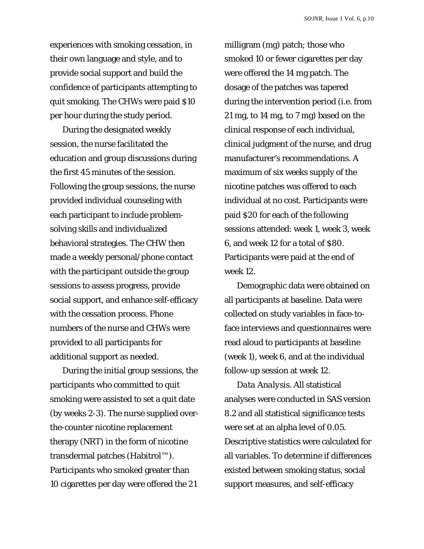experiences with smoking cessation, in their own language and style, and to provide social support and build the confidence of participants attempting to quit smoking. The CHWs were paid \$10 per hour during the study period.

During the designated weekly session, the nurse facilitated the education and group discussions during the first 45 minutes of the session. Following the group sessions, the nurse provided individual counseling with each participant to include problemsolving skills and individualized behavioral strategies. The CHW then made a weekly personal/phone contact with the participant outside the group sessions to assess progress, provide social support, and enhance self-efficacy with the cessation process. Phone numbers of the nurse and CHWs were provided to all participants for additional support as needed.

During the initial group sessions, the participants who committed to quit smoking were assisted to set a quit date (by weeks 2-3). The nurse supplied overthe-counter nicotine replacement therapy (NRT) in the form of nicotine transdermal patches (Habitrol™). Participants who smoked greater than 10 cigarettes per day were offered the 21

milligram (mg) patch; those who smoked 10 or fewer cigarettes per day were offered the 14 mg patch. The dosage of the patches was tapered during the intervention period (i.e. from 21 mg, to 14 mg, to 7 mg) based on the clinical response of each individual, clinical judgment of the nurse, and drug manufacturer's recommendations. A maximum of six weeks supply of the nicotine patches was offered to each individual at no cost. Participants were paid \$20 for each of the following sessions attended: week 1, week 3, week 6, and week 12 for a total of \$80. Participants were paid at the end of week 12.

Demographic data were obtained on all participants at baseline. Data were collected on study variables in face-toface interviews and questionnaires were read aloud to participants at baseline (week 1), week 6, and at the individual follow-up session at week 12.

*Data Analysis.* All statistical analyses were conducted in SAS version 8.2 and all statistical significance tests were set at an alpha level of 0.05. Descriptive statistics were calculated for all variables. To determine if differences existed between smoking status, social support measures, and self-efficacy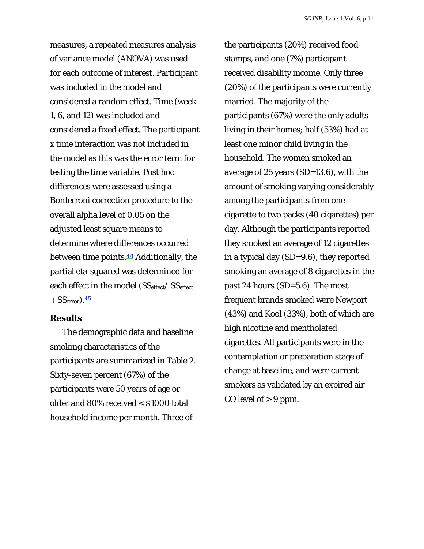measures, a repeated measures analysis of variance model (ANOVA) was used for each outcome of interest. Participant was included in the model and considered a random effect. Time (week 1, 6, and 12) was included and considered a fixed effect. The participant x time interaction was not included in the model as this was the error term for testing the time variable. Post hoc differences were assessed using a Bonferroni correction procedure to the overall alpha level of 0.05 on the adjusted least square means to determine where differences occurred between time points.**44** Additionally, the partial eta-squared was determined for each effect in the model (SS<sub>effect</sub>/ SS<sub>effect</sub> + SSerror).**<sup>45</sup>**

#### **Results**

The demographic data and baseline smoking characteristics of the participants are summarized in Table 2. Sixty-seven percent (67%) of the participants were 50 years of age or older and 80% received < \$1000 total household income per month. Three of

the participants (20%) received food stamps, and one (7%) participant received disability income. Only three (20%) of the participants were currently married. The majority of the participants (67%) were the only adults living in their homes; half (53%) had at least one minor child living in the household. The women smoked an average of 25 years (SD=13.6), with the amount of smoking varying considerably among the participants from one cigarette to two packs (40 cigarettes) per day. Although the participants reported they smoked an average of 12 cigarettes in a typical day (SD=9.6), they reported smoking an average of 8 cigarettes in the past 24 hours (SD=5.6). The most frequent brands smoked were Newport (43%) and Kool (33%), both of which are high nicotine and mentholated cigarettes. All participants were in the contemplation or preparation stage of change at baseline, and were current smokers as validated by an expired air CO level of  $> 9$  ppm.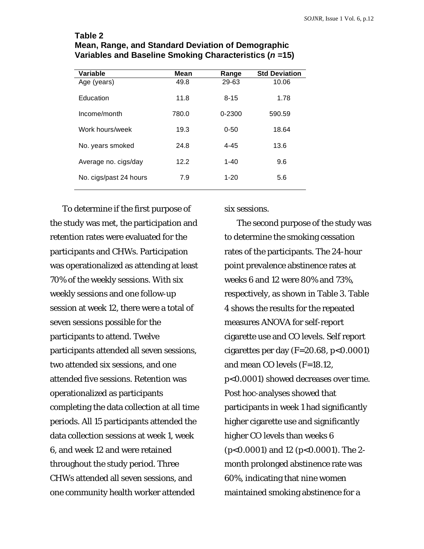| Variable               | Mean  | Range    | <b>Std Deviation</b> |
|------------------------|-------|----------|----------------------|
| Age (years)            | 49.8  | 29-63    | 10.06                |
| Education              | 11.8  | $8 - 15$ | 1.78                 |
| Income/month           | 780.0 | 0-2300   | 590.59               |
| Work hours/week        | 19.3  | $0 - 50$ | 18.64                |
| No. years smoked       | 24.8  | $4 - 45$ | 13.6                 |
| Average no. cigs/day   | 12.2  | $1 - 40$ | 9.6                  |
| No. cigs/past 24 hours | 7.9   | $1 - 20$ | 5.6                  |

#### **Table 2 Mean, Range, and Standard Deviation of Demographic Variables and Baseline Smoking Characteristics (***n* **=15)**

To determine if the first purpose of the study was met, the participation and retention rates were evaluated for the participants and CHWs. Participation was operationalized as attending at least 70% of the weekly sessions. With six weekly sessions and one follow-up session at week 12, there were a total of seven sessions possible for the participants to attend. Twelve participants attended all seven sessions, two attended six sessions, and one attended five sessions. Retention was operationalized as participants completing the data collection at all time periods. All 15 participants attended the data collection sessions at week 1, week 6, and week 12 and were retained throughout the study period. Three CHWs attended all seven sessions, and one community health worker attended

six sessions.

The second purpose of the study was to determine the smoking cessation rates of the participants. The 24-hour point prevalence abstinence rates at weeks 6 and 12 were 80% and 73%, respectively, as shown in Table 3. Table 4 shows the results for the repeated measures ANOVA for self-report cigarette use and CO levels. Self report cigarettes per day (*F*=20.68, *p*<0.0001) and mean CO levels (*F*=18.12, *p*<0.0001) showed decreases over time. Post hoc-analyses showed that participants in week 1 had significantly higher cigarette use and significantly higher CO levels than weeks 6 (*p*<0.0001) and 12 (*p*<0.0001). The 2 month prolonged abstinence rate was 60%, indicating that nine women maintained smoking abstinence for a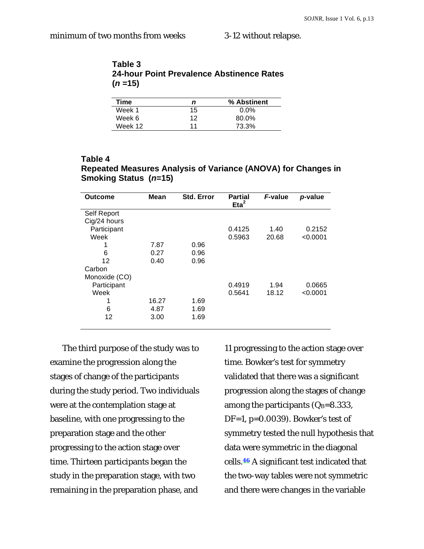| Table 3  |                                           |  |
|----------|-------------------------------------------|--|
|          | 24-hour Point Prevalence Abstinence Rates |  |
| $(n=15)$ |                                           |  |

| Time    | n  | % Abstinent |
|---------|----|-------------|
| Week 1  | 15 | $0.0\%$     |
| Week 6  | 12 | 80.0%       |
| Week 12 | 11 | 73.3%       |

#### **Table 4 Repeated Measures Analysis of Variance (ANOVA) for Changes in Smoking Status (***n***=15)**

| Outcome       | Mean  | Std. Error | <b>Partial</b><br>$Et^2$ | F-value | p-value  |
|---------------|-------|------------|--------------------------|---------|----------|
| Self Report   |       |            |                          |         |          |
| Cig/24 hours  |       |            |                          |         |          |
| Participant   |       |            | 0.4125                   | 1.40    | 0.2152   |
| Week          |       |            | 0.5963                   | 20.68   | < 0.0001 |
|               | 7.87  | 0.96       |                          |         |          |
| 6             | 0.27  | 0.96       |                          |         |          |
| 12            | 0.40  | 0.96       |                          |         |          |
| Carbon        |       |            |                          |         |          |
| Monoxide (CO) |       |            |                          |         |          |
| Participant   |       |            | 0.4919                   | 1.94    | 0.0665   |
| Week          |       |            | 0.5641                   | 18.12   | < 0.0001 |
| 1             | 16.27 | 1.69       |                          |         |          |
| 6             | 4.87  | 1.69       |                          |         |          |
| 12            | 3.00  | 1.69       |                          |         |          |
|               |       |            |                          |         |          |

The third purpose of the study was to examine the progression along the stages of change of the participants during the study period. Two individuals were at the contemplation stage at baseline, with one progressing to the preparation stage and the other progressing to the action stage over time. Thirteen participants began the study in the preparation stage, with two remaining in the preparation phase, and

11 progressing to the action stage over time. Bowker's test for symmetry validated that there was a significant progression along the stages of change among the participants  $(Q_B=8.333)$ , DF=1, *p*=0.0039). Bowker's test of symmetry tested the null hypothesis that data were symmetric in the diagonal cells.**46** A significant test indicated that the two-way tables were not symmetric and there were changes in the variable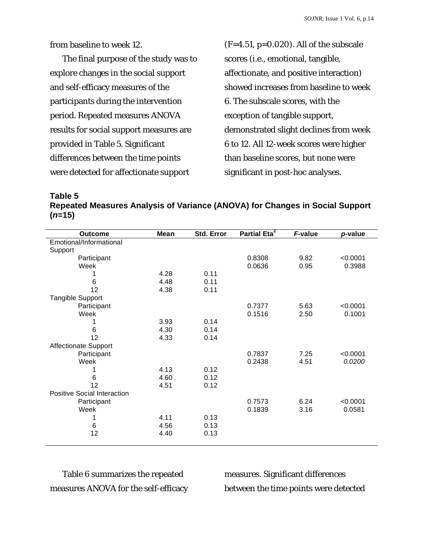from baseline to week 12.

The final purpose of the study was to explore changes in the social support and self-efficacy measures of the participants during the intervention period. Repeated measures ANOVA results for social support measures are provided in Table 5. Significant differences between the time points were detected for affectionate support

(*F*=4.51, *p*=0.020). All of the subscale scores (i.e., emotional, tangible, affectionate, and positive interaction) showed increases from baseline to week 6. The subscale scores, with the exception of tangible support, demonstrated slight declines from week 6 to 12. All 12-week scores were higher than baseline scores, but none were significant in post-hoc analyses.

**Table 5 Repeated Measures Analysis of Variance (ANOVA) for Changes in Social Support (***n***=15)**

| <b>Outcome</b>                     | Mean | Std. Error | Partial Eta <sup>2</sup> | F-value | p-value  |
|------------------------------------|------|------------|--------------------------|---------|----------|
| Emotional/Informational            |      |            |                          |         |          |
| Support                            |      |            |                          |         |          |
| Participant                        |      |            | 0.8308                   | 9.82    | < 0.0001 |
| Week                               |      |            | 0.0636                   | 0.95    | 0.3988   |
|                                    | 4.28 | 0.11       |                          |         |          |
| 6                                  | 4.48 | 0.11       |                          |         |          |
| 12                                 | 4.38 | 0.11       |                          |         |          |
| Tangible Support                   |      |            |                          |         |          |
| Participant                        |      |            | 0.7377                   | 5.63    | < 0.0001 |
| Week                               |      |            | 0.1516                   | 2.50    | 0.1001   |
|                                    | 3.93 | 0.14       |                          |         |          |
| 6                                  | 4.30 | 0.14       |                          |         |          |
| 12                                 | 4.33 | 0.14       |                          |         |          |
| <b>Affectionate Support</b>        |      |            |                          |         |          |
| Participant                        |      |            | 0.7837                   | 7.25    | < 0.0001 |
| Week                               |      |            | 0.2438                   | 4.51    | 0.0200   |
|                                    | 4.13 | 0.12       |                          |         |          |
| 6                                  | 4.60 | 0.12       |                          |         |          |
| 12                                 | 4.51 | 0.12       |                          |         |          |
| <b>Positive Social Interaction</b> |      |            |                          |         |          |
| Participant                        |      |            | 0.7573                   | 6.24    | < 0.0001 |
| Week                               |      |            | 0.1839                   | 3.16    | 0.0581   |
|                                    | 4.11 | 0.13       |                          |         |          |
| 6                                  | 4.56 | 0.13       |                          |         |          |
| 12                                 | 4.40 | 0.13       |                          |         |          |
|                                    |      |            |                          |         |          |

Table 6 summarizes the repeated measures ANOVA for the self-efficacy measures. Significant differences between the time points were detected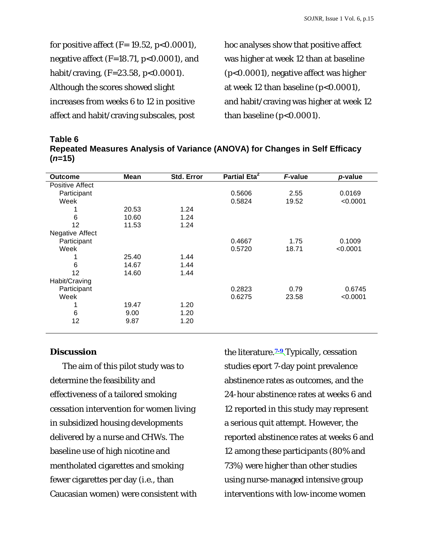for positive affect (*F*= 19.52, *p*<0.0001), negative affect (*F*=18.71, *p*<0.0001), and habit/craving, (*F*=23.58, *p*<0.0001). Although the scores showed slight increases from weeks 6 to 12 in positive affect and habit/craving subscales, post

hoc analyses show that positive affect was higher at week 12 than at baseline (*p*<0.0001), negative affect was higher at week 12 than baseline (*p*<0.0001), and habit/craving was higher at week 12 than baseline (*p*<0.0001).

| Table 6                                                                     |  |
|-----------------------------------------------------------------------------|--|
| Repeated Measures Analysis of Variance (ANOVA) for Changes in Self Efficacy |  |
| $(n=15)$                                                                    |  |

| Mean  | Std. Error | Partial Eta <sup>2</sup> | F-value | p-value  |
|-------|------------|--------------------------|---------|----------|
|       |            |                          |         |          |
|       |            | 0.5606                   | 2.55    | 0.0169   |
|       |            | 0.5824                   | 19.52   | < 0.0001 |
| 20.53 | 1.24       |                          |         |          |
| 10.60 | 1.24       |                          |         |          |
| 11.53 | 1.24       |                          |         |          |
|       |            |                          |         |          |
|       |            | 0.4667                   | 1.75    | 0.1009   |
|       |            | 0.5720                   | 18.71   | < 0.0001 |
| 25.40 | 1.44       |                          |         |          |
| 14.67 | 1.44       |                          |         |          |
| 14.60 | 1.44       |                          |         |          |
|       |            |                          |         |          |
|       |            | 0.2823                   | 0.79    | 0.6745   |
|       |            | 0.6275                   | 23.58   | < 0.0001 |
| 19.47 | 1.20       |                          |         |          |
| 9.00  | 1.20       |                          |         |          |
| 9.87  | 1.20       |                          |         |          |
|       |            |                          |         |          |

## **Discussion**

The aim of this pilot study was to determine the feasibility and effectiveness of a tailored smoking cessation intervention for women living in subsidized housing developments delivered by a nurse and CHWs. The baseline use of high nicotine and mentholated cigarettes and smoking fewer cigarettes per day (i.e., than Caucasian women) were consistent with the literature.**7-9** Typically, cessation studies eport 7-day point prevalence abstinence rates as outcomes, and the 24-hour abstinence rates at weeks 6 and 12 reported in this study may represent a serious quit attempt. However, the reported abstinence rates at weeks 6 and 12 among these participants (80% and 73%) were higher than other studies using nurse-managed intensive group interventions with low-income women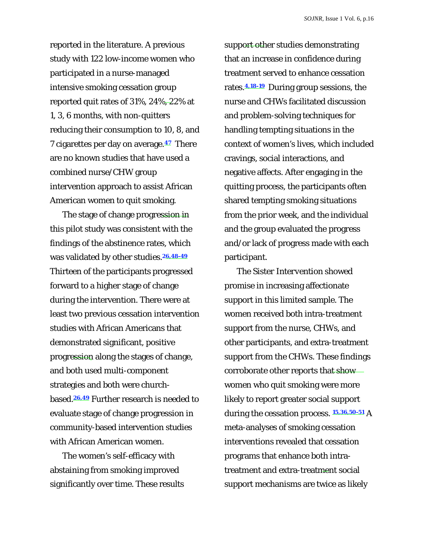reported in the literature. A previous study with 122 low-income women who participated in a nurse-managed intensive smoking cessation group reported quit rates of 31%, 24%, 22% at 1, 3, 6 months, with non-quitters reducing their consumption to 10, 8, and 7 cigarettes per day on average.**47** There are no known studies that have used a combined nurse/CHW group intervention approach to assist African American women to quit smoking.

The stage of change progression in this pilot study was consistent with the findings of the abstinence rates, which was validated by other studies.**26,48-49** Thirteen of the participants progressed forward to a higher stage of change during the intervention. There were at least two previous cessation intervention studies with African Americans that demonstrated significant, positive progression along the stages of change, and both used multi-component strategies and both were churchbased.**26,49** Further research is needed to evaluate stage of change progression in community-based intervention studies with African American women.

The women's self-efficacy with abstaining from smoking improved significantly over time. These results support other studies demonstrating that an increase in confidence during treatment served to enhance cessation rates.**4,18-19** During group sessions, the nurse and CHWs facilitated discussion and problem-solving techniques for handling tempting situations in the context of women's lives, which included cravings, social interactions, and negative affects. After engaging in the quitting process, the participants often shared tempting smoking situations from the prior week, and the individual and the group evaluated the progress and/or lack of progress made with each participant.

The *Sister Intervention* showed promise in increasing affectionate support in this limited sample. The women received both intra-treatment support from the nurse, CHWs, and other participants, and extra-treatment support from the CHWs. These findings corroborate other reports that show women who quit smoking were more likely to report greater social support during the cessation process. **15,36,50-51** A meta-analyses of smoking cessation interventions revealed that cessation programs that enhance both intratreatment and extra-treatment social support mechanisms are twice as likely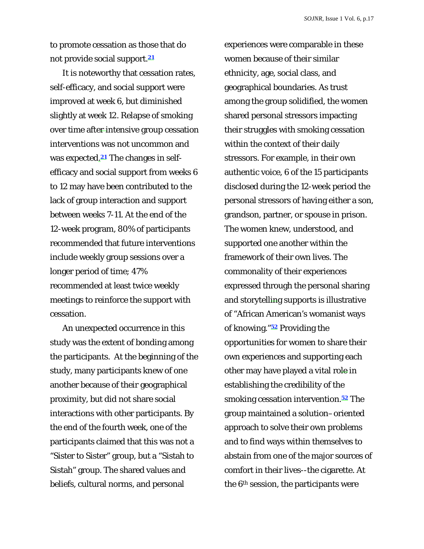to promote cessation as those that do not provide social support.**<sup>21</sup>**

It is noteworthy that cessation rates, self-efficacy, and social support were improved at week 6, but diminished slightly at week 12. Relapse of smoking over time after-intensive group cessation interventions was not uncommon and was expected.**21** The changes in selfefficacy and social support from weeks 6 to 12 may have been contributed to the lack of group interaction and support between weeks 7-11. At the end of the 12-week program, 80% of participants recommended that future interventions include weekly group sessions over a longer period of time; 47% recommended at least twice weekly meetings to reinforce the support with cessation.

An unexpected occurrence in this study was the extent of bonding among the participants. At the beginning of the study, many participants knew of one another because of their geographical proximity, but did not share social interactions with other participants. By the end of the fourth week, one of the participants claimed that this was not a "Sister to Sister" group, but a "Sistah to Sistah" group. The shared values and beliefs, cultural norms, and personal

experiences were comparable in these women because of their similar ethnicity, age, social class, and geographical boundaries. As trust among the group solidified, the women shared personal stressors impacting their struggles with smoking cessation within the context of their daily stressors. For example, in their own authentic voice, 6 of the 15 participants disclosed during the 12-week period the personal stressors of having either a son, grandson, partner, or spouse in prison. The women knew, understood, and supported one another within the framework of their own lives. The commonality of their experiences expressed through the personal sharing and storytelling supports is illustrative of "African American's womanist ways of knowing."**52** Providing the opportunities for women to share their own experiences and supporting each other may have played a vital role in establishing the credibility of the smoking cessation intervention.**52** The group maintained a solution–oriented approach to solve their own problems and to find ways within themselves to abstain from one of the major sources of comfort in their lives--the cigarette. At the 6th session, the participants were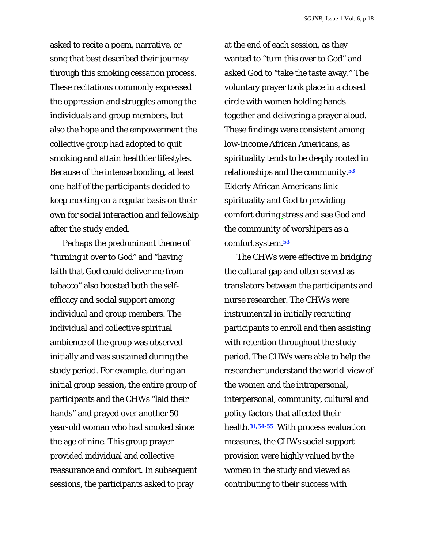asked to recite a poem, narrative, or song that best described their journey through this smoking cessation process. These recitations commonly expressed the oppression and struggles among the individuals and group members, but also the hope and the empowerment the collective group had adopted to quit smoking and attain healthier lifestyles. Because of the intense bonding, at least one-half of the participants decided to keep meeting on a regular basis on their own for social interaction and fellowship after the study ended.

Perhaps the predominant theme of "turning it over to God" and "having faith that God could deliver me from tobacco" also boosted both the selfefficacy and social support among individual and group members. The individual and collective spiritual ambience of the group was observed initially and was sustained during the study period. For example, during an initial group session, the entire group of participants and the CHWs "laid their hands" and prayed over another 50 year-old woman who had smoked since the age of nine. This group prayer provided individual and collective reassurance and comfort. In subsequent sessions, the participants asked to pray

at the end of each session, as they wanted to "turn this over to God" and asked God to "take the taste away." The voluntary prayer took place in a closed circle with women holding hands together and delivering a prayer aloud. These findings were consistent among low-income African Americans, as spirituality tends to be deeply rooted in relationships and the community.**<sup>53</sup>** Elderly African Americans link spirituality and God to providing comfort during stress and see God and the community of worshipers as a comfort system.**<sup>53</sup>**

The CHWs were effective in bridging the cultural gap and often served as translators between the participants and nurse researcher. The CHWs were instrumental in initially recruiting participants to enroll and then assisting with retention throughout the study period. The CHWs were able to help the researcher understand the world-view of the women and the intrapersonal, interpersonal, community, cultural and policy factors that affected their health.**31,54-55** With process evaluation measures, the CHWs social support provision were highly valued by the women in the study and viewed as contributing to their success with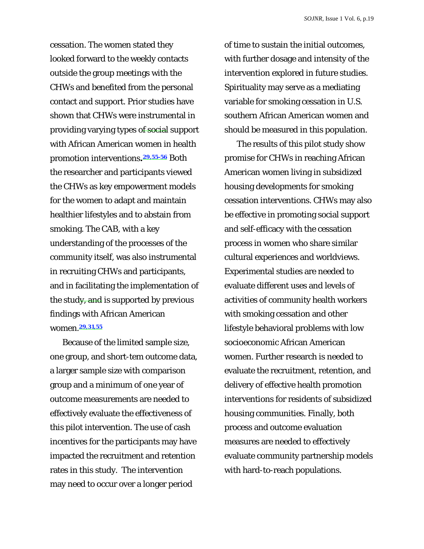cessation. The women stated they looked forward to the weekly contacts outside the group meetings with the CHWs and benefited from the personal contact and support. Prior studies have shown that CHWs were instrumental in providing varying types of social support with African American women in health promotion interventions**.29,55-56** Both the researcher and participants viewed the CHWs as key empowerment models for the women to adapt and maintain healthier lifestyles and to abstain from smoking. The CAB, with a key understanding of the processes of the community itself, was also instrumental in recruiting CHWs and participants, and in facilitating the implementation of the study, and is supported by previous findings with African American women.**29,31,55**

Because of the limited sample size, one group, and short-tem outcome data, a larger sample size with comparison group and a minimum of one year of outcome measurements are needed to effectively evaluate the effectiveness of this pilot intervention. The use of cash incentives for the participants may have impacted the recruitment and retention rates in this study. The intervention may need to occur over a longer period

of time to sustain the initial outcomes, with further dosage and intensity of the intervention explored in future studies. Spirituality may serve as a mediating variable for smoking cessation in U.S. southern African American women and should be measured in this population.

The results of this pilot study show promise for CHWs in reaching African American women living in subsidized housing developments for smoking cessation interventions. CHWs may also be effective in promoting social support and self-efficacy with the cessation process in women who share similar cultural experiences and worldviews. Experimental studies are needed to evaluate different uses and levels of activities of community health workers with smoking cessation and other lifestyle behavioral problems with low socioeconomic African American women. Further research is needed to evaluate the recruitment, retention, and delivery of effective health promotion interventions for residents of subsidized housing communities. Finally, both process and outcome evaluation measures are needed to effectively evaluate community partnership models with hard-to-reach populations.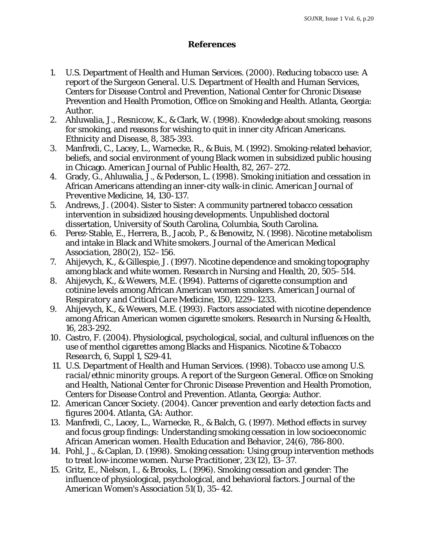## **References**

- 1. U.S. Department of Health and Human Services. (2000). *Reducing tobacco use: A report of the Surgeon General*. U.S. Department of Health and Human Services, Centers for Disease Control and Prevention, National Center for Chronic Disease Prevention and Health Promotion, Office on Smoking and Health. Atlanta, Georgia: Author.
- 2. Ahluwalia, J., Resnicow, K., & Clark, W. (1998). Knowledge about smoking, reasons for smoking, and reasons for wishing to quit in inner city African Americans. *Ethnicity and Disease, 8*, 385-393.
- 3. Manfredi, C., Lacey, L., Warnecke, R., & Buis, M. (1992). Smoking-related behavior, beliefs, and social environment of young Black women in subsidized public housing in Chicago. *American Journal of Public Health, 82*, 267–272.
- 4. Grady, G., Ahluwalia, J., & Pederson, L. (1998). Smoking initiation and cessation in African Americans attending an inner-city walk-in clinic. *American Journal of Preventive Medicine, 14*, 130-137.
- 5. Andrews, J. (2004). Sister to Sister: A community partnered tobacco cessation intervention in subsidized housing developments. Unpublished doctoral dissertation, University of South Carolina, Columbia, South Carolina.
- 6. Perez-Stable, E., Herrera, B., Jacob, P., & Benowitz, N. (1998). Nicotine metabolism and intake in Black and White smokers. *Journal of the American Medical Association, 280*(2), 152–156.
- 7. Ahijevych, K., & Gillespie, J. (1997). Nicotine dependence and smoking topography among black and white women. *Research in Nursing and Health, 20*, 505–514.
- 8. Ahijevych, K., & Wewers, M.E. (1994). Patterns of cigarette consumption and cotinine levels among African American women smokers. *American Journal of Respiratory and Critical Care Medicine, 150*, 1229–1233.
- 9. Ahijevych, K., & Wewers, M.E. (1993). Factors associated with nicotine dependence among African American women cigarette smokers. *Research in Nursing & Health, 16*, 283-292.
- 10. Castro, F. (2004). Physiological, psychological, social, and cultural influences on the use of menthol cigarettes among Blacks and Hispanics. *Nicotine & Tobacco Research, 6*, Suppl 1, S29-41.
- 11. U.S. Department of Health and Human Services. (1998). *Tobacco use among U.S. racial/ethnic minority groups. A report of the Surgeon General.* Office on Smoking and Health, National Center for Chronic Disease Prevention and Health Promotion, Centers for Disease Control and Prevention. Atlanta, Georgia: Author.
- 12. American Cancer Society. (2004). *Cancer prevention and early detection facts and figures 2004.* Atlanta, GA: Author.
- 13. Manfredi, C., Lacey, L., Warnecke, R., & Balch, G. (1997). Method effects in survey and focus group findings: Understanding smoking cessation in low socioeconomic African American women. *Health Education and Behavior, 24*(6), 786-800.
- 14. Pohl, J., & Caplan, D. (1998). Smoking cessation: Using group intervention methods to treat low-income women. *Nurse Practitioner, 23*(12), 13–37.
- 15. Gritz, E., Nielson, I., & Brooks, L. (1996). Smoking cessation and gender: The influence of physiological, psychological, and behavioral factors. *Journal of the American Women's Association 51*(1), 35–42.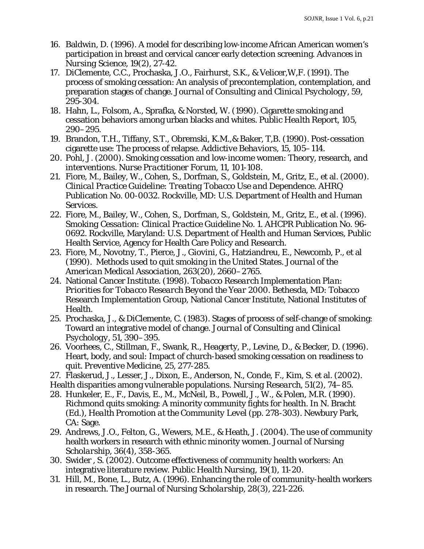- 16. Baldwin, D. (1996). A model for describing low-income African American women's participation in breast and cervical cancer early detection screening. *Advances in Nursing Science, 19*(2), 27-42.
- 17. DiClemente, C.C., Prochaska, J.O., Fairhurst, S.K., & Velicer,W,F. (1991). The process of smoking cessation: An analysis of precontemplation, contemplation, and preparation stages of change. *Journal of Consulting and Clinical Psychology*, 59, 295-304.
- 18. Hahn, L., Folsom, A., Sprafka, & Norsted, W. (1990). Cigarette smoking and cessation behaviors among urban blacks and whites. *Public Health Report, 105*, 290–295.
- 19. Brandon, T.H., Tiffany, S.T., Obremski, K.M.,& Baker, T,B. (1990). Post-cessation cigarette use: The process of relapse. *Addictive Behaviors, 15*, 105–114.
- 20. Pohl, J. (2000). Smoking cessation and low-income women: Theory, research, and interventions. *Nurse Practitioner Forum, 11*, 101-108.
- 21. Fiore, M., Bailey, W., Cohen, S., Dorfman, S., Goldstein, M., Gritz, E., et al. (2000). *Clinical Practice Guideline: Treating Tobacco Use and Dependence.* AHRQ Publication No. 00-0032. Rockville, MD: U.S. Department of Health and Human Services.
- 22. Fiore, M., Bailey, W., Cohen, S., Dorfman, S., Goldstein, M., Gritz, E., et al. (1996). *Smoking Cessation: Clinical Practice Guideline No. 1.* AHCPR Publication No. 96- 0692. Rockville, Maryland: *U.S.* Department of Health and Human Services, Public Health Service, Agency for Health Care Policy and Research.
- 23. Fiore, M., Novotny, T., Pierce, J., Giovini, G., Hatziandreu, E., Newcomb, P., et al (1990). Methods used to quit smoking in the United States. *Journal of the American Medical Association, 263*(20), 2660–2765.
- 24. National Cancer Institute. (1998). *Tobacco Research Implementation Plan: Priorities for Tobacco Research Beyond the Year 2000.* Bethesda, MD: Tobacco Research Implementation Group, National Cancer Institute, National Institutes of Health.
- 25. Prochaska, J., & DiClemente, C. (1983). Stages of process of self-change of smoking: Toward an integrative model of change. *Journal of Consulting and Clinical Psychology*, *51*, 390–395.
- 26. Voorhees, C., Stillman, F., Swank, R., Heagerty, P., Levine, D., & Becker, D. (1996). Heart, body, and soul: Impact of church-based smoking cessation on readiness to quit. *Preventive Medicine, 25,* 277-285.
- 27. Flaskerud, J., Lesser, J., Dixon, E., Anderson, N., Conde, F., Kim, S. et al. (2002).
- Health disparities among vulnerable populations. *Nursing Research, 51*(2), 74–85.
- 28. Hunkeler, E., F., Davis, E., M., McNeil, B., Powell, J., W., & Polen, M.R. (1990). Richmond quits smoking: A minority community fights for health. In N. Bracht (Ed.), *Health Promotion at the Community Level* (pp. 278-303). Newbury Park, CA: Sage.
- 29. Andrews, J.O., Felton, G., Wewers, M.E., & Heath, J. (2004). The use of community health workers in research with ethnic minority women. *Journal of Nursing Scholarship*, *36*(4), 358-365.
- 30. Swider , S. (2002). Outcome effectiveness of community health workers: An integrative literature review. *Public Health Nursing, 19*(1), 11-20.
- 31. Hill, M., Bone, L., Butz, A. (1996). Enhancing the role of community-health workers in research. *The Journal of Nursing Scholarship, 28*(3), 221-226.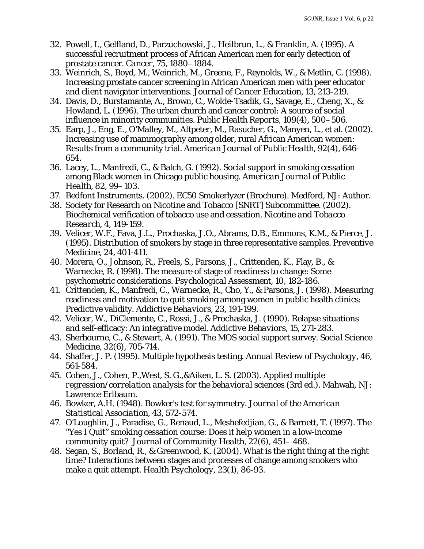- 32. Powell, I., Gelfland, D., Parzuchowski, J., Heilbrun, L., & Franklin, A. (1995). A successful recruitment process of African American men for early detection of prostate cancer. *Cancer*, *75,* 1880–1884.
- 33. Weinrich, S., Boyd, M., Weinrich, M., Greene, F., Reynolds, W., & Metlin, C. (1998). Increasing prostate cancer screening in African American men with peer educator and client navigator interventions. *Journal of Cancer Education, 13*, 213-219.
- 34. Davis, D., Burstamante, A., Brown, C., Wolde-Tsadik, G., Savage, E., Cheng, X., & Howland, L. (1996). The urban church and cancer control: A source of social influence in minority communities. *Public Health Reports, 109*(4), 500–506.
- 35. Earp, J., Eng, E., O'Malley, M., Altpeter, M., Rasucher, G., Manyen, L., et al. (2002). Increasing use of mammography among older, rural African American women: Results from a community trial. *American Journal of Public Health, 92*(4), 646- 654.
- 36. Lacey, L., Manfredi, C., & Balch, G. (1992). Social support in smoking cessation among Black women in Chicago public housing. *American Journal of Public Health, 82*, 99–103.
- 37. Bedfont Instruments. (2002). EC50 Smokerlyzer (Brochure). Medford, NJ: Author.
- 38. Society for Research on Nicotine and Tobacco [SNRT] Subcommittee. (2002). Biochemical verification of tobacco use and cessation. *Nicotine and Tobacco Research, 4*, 149-159.
- 39. Velicer, W.F., Fava, J.L., Prochaska, J.O., Abrams, D.B., Emmons, K.M., & Pierce, J. (1995). Distribution of smokers by stage in three representative samples. *Preventive Medicine, 24,* 401-411.
- 40. Morera, O., Johnson, R., Freels, S., Parsons, J., Crittenden, K., Flay, B., & Warnecke, R. (1998). The measure of stage of readiness to change: Some psychometric considerations. *Psychological Assessment, 10*, 182-186.
- 41. Crittenden, K., Manfredi, C., Warnecke, R., Cho, Y., & Parsons, J. (1998). Measuring readiness and motivation to quit smoking among women in public health clinics: Predictive validity. *Addictive Behaviors, 23,* 191-199.
- 42. Velicer, W., DiClemente, C., Rossi, J., & Prochaska, J. (1990). Relapse situations and self-efficacy: An integrative model. *Addictive Behaviors, 15*, 271-283.
- 43. Sherbourne, C., & Stewart, A. (1991). The MOS social support survey. *Social Science Medicine, 32*(6), 705-714.
- 44. Shaffer, J. P. (1995). Multiple hypothesis testing. *Annual Review of Psychology, 46*, 561-584.
- 45. Cohen, J., Cohen, P.,West, S. G.,&Aiken, L. S. (2003). *Applied multiple regression/correlation analysis for the behavioral sciences* (3rd ed.). Mahwah, NJ: Lawrence Erlbaum.
- 46. Bowker, A.H. (1948). Bowker's test for symmetry. *Journal of the American Statistical Association*, *43*, 572-574.
- 47. O'Loughlin, J., Paradise, G., Renaud, L., Meshefedjian, G., & Barnett, T. (1997). The "Yes I Quit" smoking cessation course: Does it help women in a low-income community quit? *Journal of Community Health, 22*(6), 451– 468.
- 48. Segan, S., Borland, R., & Greenwood, K. (2004). What is the right thing at the right time? Interactions between stages and processes of change among smokers who make a quit attempt. *Health Psychology, 23*(1), 86-93.